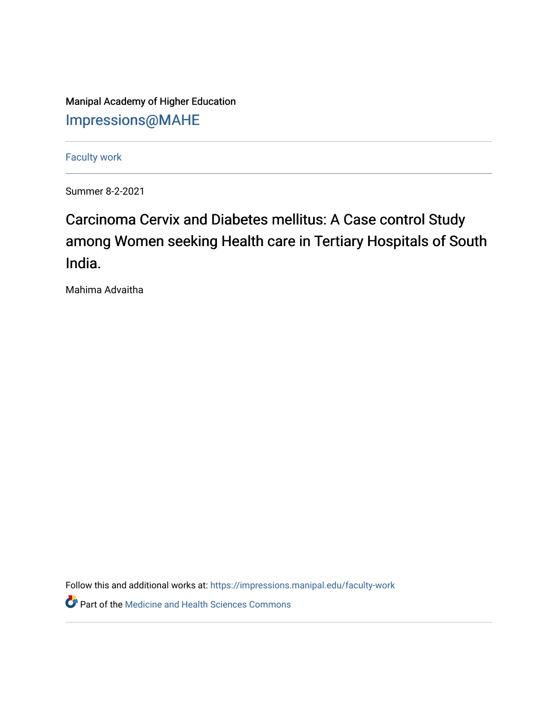Manipal Academy of Higher Education [Impressions@MAHE](https://impressions.manipal.edu/)

[Faculty work](https://impressions.manipal.edu/faculty-work) 

Summer 8-2-2021

## Carcinoma Cervix and Diabetes mellitus: A Case control Study among Women seeking Health care in Tertiary Hospitals of South India.

Mahima Advaitha

Follow this and additional works at: [https://impressions.manipal.edu/faculty-work](https://impressions.manipal.edu/faculty-work?utm_source=impressions.manipal.edu%2Ffaculty-work%2F113&utm_medium=PDF&utm_campaign=PDFCoverPages) 

**Part of the Medicine and Health Sciences Commons**